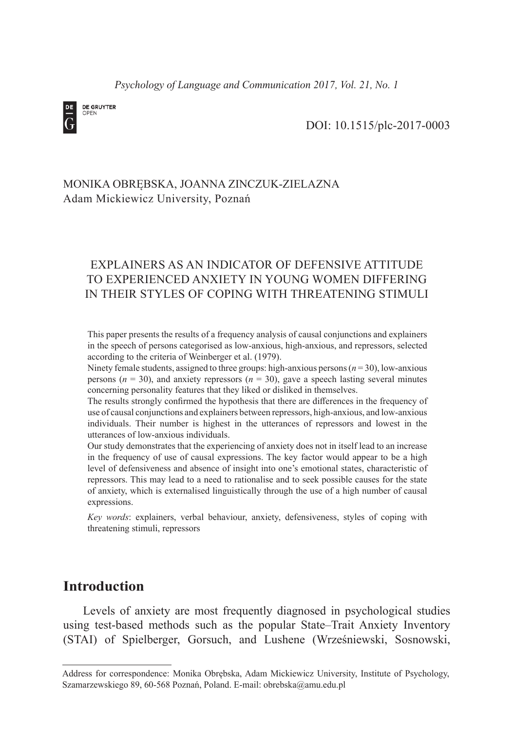*Psychology of Language and Communication 2017, Vol. 21, No. 1*



DOI: 10.1515/plc-2017-0003

# MONIKA OBRĘBSKA, JOANNA ZINCZUK-ZIELAZNA Adam Mickiewicz University, Poznań

# EXPLAINERS AS AN INDICATOR OF DEFENSIVE ATTITUDE TO EXPERIENCED ANXIETY IN YOUNG WOMEN DIFFERING IN THEIR STYLES OF COPING WITH THREATENING STIMULI

This paper presents the results of a frequency analysis of causal conjunctions and explainers in the speech of persons categorised as low-anxious, high-anxious, and repressors, selected according to the criteria of Weinberger et al. (1979).

Ninety female students, assigned to three groups: high-anxious persons (*n* = 30), low-anxious persons ( $n = 30$ ), and anxiety repressors ( $n = 30$ ), gave a speech lasting several minutes concerning personality features that they liked or disliked in themselves.

The results strongly confirmed the hypothesis that there are differences in the frequency of use of causal conjunctions and explainers between repressors, high-anxious, and low-anxious individuals. Their number is highest in the utterances of repressors and lowest in the utterances of low-anxious individuals.

Our study demonstrates that the experiencing of anxiety does not in itself lead to an increase in the frequency of use of causal expressions. The key factor would appear to be a high level of defensiveness and absence of insight into one's emotional states, characteristic of repressors. This may lead to a need to rationalise and to seek possible causes for the state of anxiety, which is externalised linguistically through the use of a high number of causal expressions.

*Key words*: explainers, verbal behaviour, anxiety, defensiveness, styles of coping with threatening stimuli, repressors

# **Introduction**

Levels of anxiety are most frequently diagnosed in psychological studies using test-based methods such as the popular State–Trait Anxiety Inventory (STAI) of Spielberger, Gorsuch, and Lushene (Wrześniewski, Sosnowski,

Address for correspondence: Monika Obrębska, Adam Mickiewicz University, Institute of Psychology, Szamarzewskiego 89, 60-568 Poznań, Poland. E-mail: obrebska@amu.edu.pl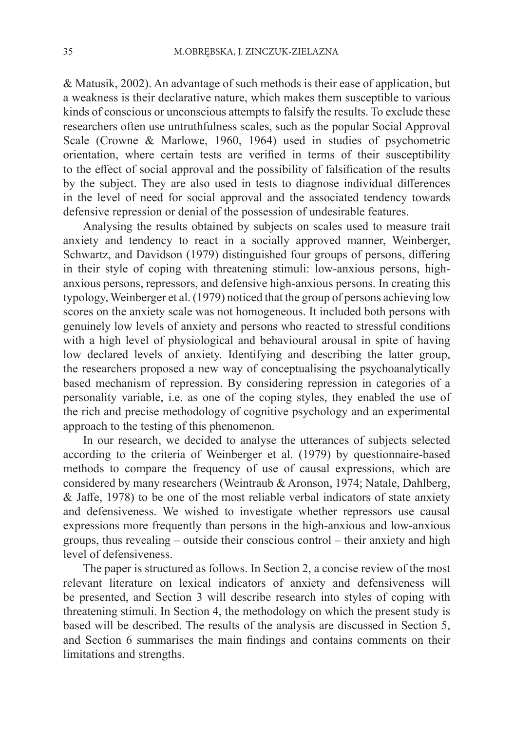& Matusik, 2002). An advantage of such methods is their ease of application, but a weakness is their declarative nature, which makes them susceptible to various kinds of conscious or unconscious attempts to falsify the results. To exclude these researchers often use untruthfulness scales, such as the popular Social Approval Scale (Crowne & Marlowe, 1960, 1964) used in studies of psychometric orientation, where certain tests are verified in terms of their susceptibility to the effect of social approval and the possibility of falsification of the results by the subject. They are also used in tests to diagnose individual differences in the level of need for social approval and the associated tendency towards defensive repression or denial of the possession of undesirable features.

Analysing the results obtained by subjects on scales used to measure trait anxiety and tendency to react in a socially approved manner, Weinberger, Schwartz, and Davidson (1979) distinguished four groups of persons, differing in their style of coping with threatening stimuli: low-anxious persons, highanxious persons, repressors, and defensive high-anxious persons. In creating this typology, Weinberger et al. (1979) noticed that the group of persons achieving low scores on the anxiety scale was not homogeneous. It included both persons with genuinely low levels of anxiety and persons who reacted to stressful conditions with a high level of physiological and behavioural arousal in spite of having low declared levels of anxiety. Identifying and describing the latter group, the researchers proposed a new way of conceptualising the psychoanalytically based mechanism of repression. By considering repression in categories of a personality variable, i.e. as one of the coping styles, they enabled the use of the rich and precise methodology of cognitive psychology and an experimental approach to the testing of this phenomenon.

In our research, we decided to analyse the utterances of subjects selected according to the criteria of Weinberger et al. (1979) by questionnaire-based methods to compare the frequency of use of causal expressions, which are considered by many researchers (Weintraub & Aronson, 1974; Natale, Dahlberg, & Jaffe, 1978) to be one of the most reliable verbal indicators of state anxiety and defensiveness. We wished to investigate whether repressors use causal expressions more frequently than persons in the high-anxious and low-anxious groups, thus revealing – outside their conscious control – their anxiety and high level of defensiveness.

The paper is structured as follows. In Section 2, a concise review of the most relevant literature on lexical indicators of anxiety and defensiveness will be presented, and Section 3 will describe research into styles of coping with threatening stimuli. In Section 4, the methodology on which the present study is based will be described. The results of the analysis are discussed in Section 5, and Section 6 summarises the main findings and contains comments on their limitations and strengths.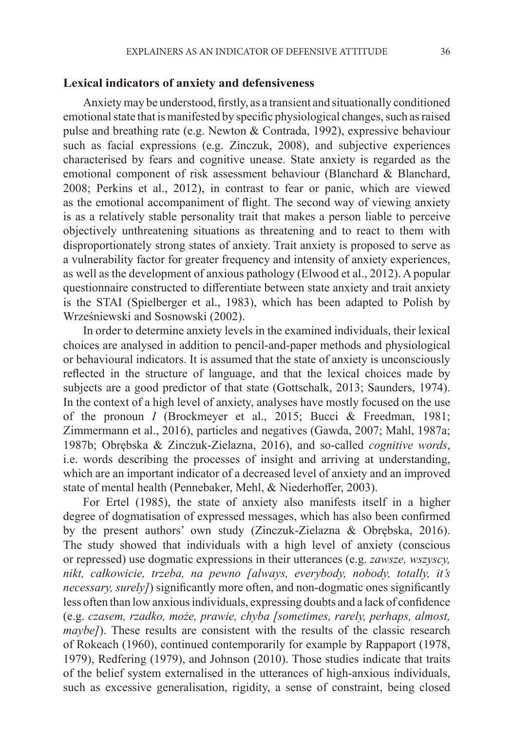#### **Lexical indicators of anxiety and defensiveness**

Anxiety may be understood, firstly, as a transient and situationally conditioned emotional state that is manifested by specific physiological changes, such as raised pulse and breathing rate (e.g. Newton & Contrada, 1992), expressive behaviour such as facial expressions (e.g. Zinczuk, 2008), and subjective experiences characterised by fears and cognitive unease. State anxiety is regarded as the emotional component of risk assessment behaviour (Blanchard & Blanchard, 2008; Perkins et al., 2012), in contrast to fear or panic, which are viewed as the emotional accompaniment of flight. The second way of viewing anxiety is as a relatively stable personality trait that makes a person liable to perceive objectively unthreatening situations as threatening and to react to them with disproportionately strong states of anxiety. Trait anxiety is proposed to serve as a vulnerability factor for greater frequency and intensity of anxiety experiences, as well as the development of anxious pathology (Elwood et al., 2012). A popular questionnaire constructed to differentiate between state anxiety and trait anxiety is the STAI (Spielberger et al., 1983), which has been adapted to Polish by Wrześniewski and Sosnowski (2002).

In order to determine anxiety levels in the examined individuals, their lexical choices are analysed in addition to pencil-and-paper methods and physiological or behavioural indicators. It is assumed that the state of anxiety is unconsciously reflected in the structure of language, and that the lexical choices made by subjects are a good predictor of that state (Gottschalk, 2013; Saunders, 1974). In the context of a high level of anxiety, analyses have mostly focused on the use of the pronoun *I* (Brockmeyer et al., 2015; Bucci & Freedman, 1981; Zimmermann et al., 2016), particles and negatives (Gawda, 2007; Mahl, 1987a; 1987b; Obrębska & Zinczuk-Zielazna, 2016), and so-called *cognitive words*, i.e. words describing the processes of insight and arriving at understanding, which are an important indicator of a decreased level of anxiety and an improved state of mental health (Pennebaker, Mehl, & Niederhoffer, 2003).

For Ertel (1985), the state of anxiety also manifests itself in a higher degree of dogmatisation of expressed messages, which has also been confirmed by the present authors' own study (Zinczuk-Zielazna & Obrębska, 2016). The study showed that individuals with a high level of anxiety (conscious or repressed) use dogmatic expressions in their utterances (e.g. *zawsze, wszyscy, nikt, całkowicie, trzeba, na pewno [always, everybody, nobody, totally, it's necessary, surely]*) significantly more often, and non-dogmatic ones significantly less often than low anxious individuals, expressing doubts and a lack of confidence (e.g. *czasem, rzadko, może, prawie, chyba [sometimes, rarely, perhaps, almost, maybe]*). These results are consistent with the results of the classic research of Rokeach (1960), continued contemporarily for example by Rappaport (1978, 1979), Redfering (1979), and Johnson (2010). Those studies indicate that traits of the belief system externalised in the utterances of high-anxious individuals, such as excessive generalisation, rigidity, a sense of constraint, being closed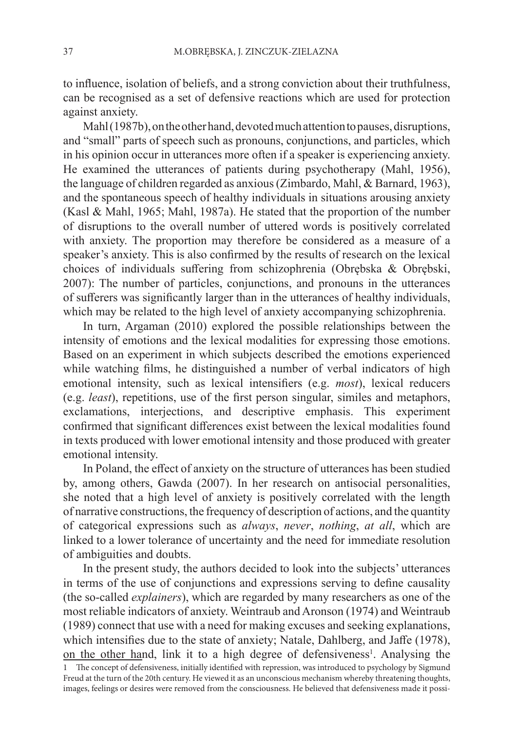to influence, isolation of beliefs, and a strong conviction about their truthfulness, can be recognised as a set of defensive reactions which are used for protection against anxiety.

Mahl (1987b), on the other hand, devoted much attention to pauses, disruptions, and "small" parts of speech such as pronouns, conjunctions, and particles, which in his opinion occur in utterances more often if a speaker is experiencing anxiety. He examined the utterances of patients during psychotherapy (Mahl, 1956), the language of children regarded as anxious (Zimbardo, Mahl, & Barnard, 1963), and the spontaneous speech of healthy individuals in situations arousing anxiety (Kasl & Mahl, 1965; Mahl, 1987a). He stated that the proportion of the number of disruptions to the overall number of uttered words is positively correlated with anxiety. The proportion may therefore be considered as a measure of a speaker's anxiety. This is also confirmed by the results of research on the lexical choices of individuals suffering from schizophrenia (Obrębska & Obrębski, 2007): The number of particles, conjunctions, and pronouns in the utterances of sufferers was significantly larger than in the utterances of healthy individuals, which may be related to the high level of anxiety accompanying schizophrenia.

In turn, Argaman (2010) explored the possible relationships between the intensity of emotions and the lexical modalities for expressing those emotions. Based on an experiment in which subjects described the emotions experienced while watching films, he distinguished a number of verbal indicators of high emotional intensity, such as lexical intensifiers (e.g. *most*), lexical reducers (e.g. *least*), repetitions, use of the first person singular, similes and metaphors, exclamations, interjections, and descriptive emphasis. This experiment confirmed that significant differences exist between the lexical modalities found in texts produced with lower emotional intensity and those produced with greater emotional intensity.

In Poland, the effect of anxiety on the structure of utterances has been studied by, among others, Gawda (2007). In her research on antisocial personalities, she noted that a high level of anxiety is positively correlated with the length of narrative constructions, the frequency of description of actions, and the quantity of categorical expressions such as *always*, *never*, *nothing*, *at all*, which are linked to a lower tolerance of uncertainty and the need for immediate resolution of ambiguities and doubts.

In the present study, the authors decided to look into the subjects' utterances in terms of the use of conjunctions and expressions serving to define causality (the so-called *explainers*), which are regarded by many researchers as one of the most reliable indicators of anxiety. Weintraub and Aronson (1974) and Weintraub (1989) connect that use with a need for making excuses and seeking explanations, which intensifies due to the state of anxiety; Natale, Dahlberg, and Jaffe (1978), on the other hand, link it to a high degree of defensiveness<sup>1</sup>. Analysing the 1 The concept of defensiveness, initially identified with repression, was introduced to psychology by Sigmund Freud at the turn of the 20th century. He viewed it as an unconscious mechanism whereby threatening thoughts, images, feelings or desires were removed from the consciousness. He believed that defensiveness made it possi-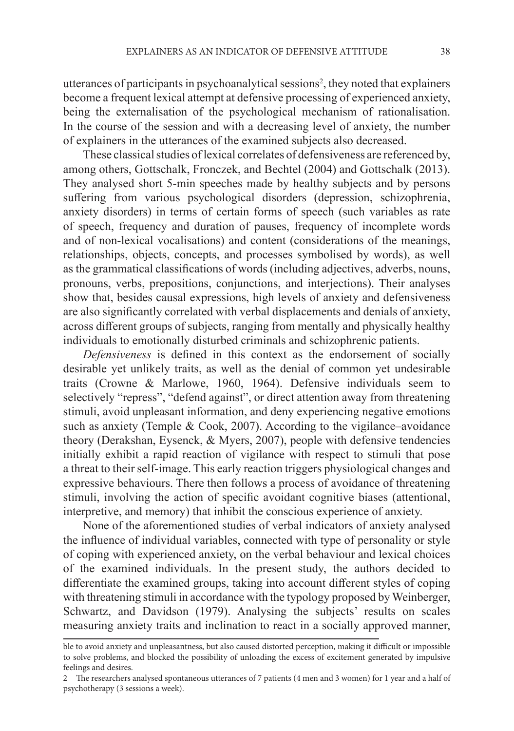utterances of participants in psychoanalytical sessions<sup>2</sup>, they noted that explainers become a frequent lexical attempt at defensive processing of experienced anxiety, being the externalisation of the psychological mechanism of rationalisation. In the course of the session and with a decreasing level of anxiety, the number of explainers in the utterances of the examined subjects also decreased.

These classical studies of lexical correlates of defensiveness are referenced by, among others, Gottschalk, Fronczek, and Bechtel (2004) and Gottschalk (2013). They analysed short 5-min speeches made by healthy subjects and by persons suffering from various psychological disorders (depression, schizophrenia, anxiety disorders) in terms of certain forms of speech (such variables as rate of speech, frequency and duration of pauses, frequency of incomplete words and of non-lexical vocalisations) and content (considerations of the meanings, relationships, objects, concepts, and processes symbolised by words), as well as the grammatical classifications of words (including adjectives, adverbs, nouns, pronouns, verbs, prepositions, conjunctions, and interjections). Their analyses show that, besides causal expressions, high levels of anxiety and defensiveness are also significantly correlated with verbal displacements and denials of anxiety, across different groups of subjects, ranging from mentally and physically healthy individuals to emotionally disturbed criminals and schizophrenic patients.

*Defensiveness* is defined in this context as the endorsement of socially desirable yet unlikely traits, as well as the denial of common yet undesirable traits (Crowne & Marlowe, 1960, 1964). Defensive individuals seem to selectively "repress", "defend against", or direct attention away from threatening stimuli, avoid unpleasant information, and deny experiencing negative emotions such as anxiety (Temple & Cook, 2007). According to the vigilance–avoidance theory (Derakshan, Eysenck, & Myers, 2007), people with defensive tendencies initially exhibit a rapid reaction of vigilance with respect to stimuli that pose a threat to their self-image. This early reaction triggers physiological changes and expressive behaviours. There then follows a process of avoidance of threatening stimuli, involving the action of specific avoidant cognitive biases (attentional, interpretive, and memory) that inhibit the conscious experience of anxiety.

None of the aforementioned studies of verbal indicators of anxiety analysed the influence of individual variables, connected with type of personality or style of coping with experienced anxiety, on the verbal behaviour and lexical choices of the examined individuals. In the present study, the authors decided to differentiate the examined groups, taking into account different styles of coping with threatening stimuli in accordance with the typology proposed by Weinberger, Schwartz, and Davidson (1979). Analysing the subjects' results on scales measuring anxiety traits and inclination to react in a socially approved manner,

ble to avoid anxiety and unpleasantness, but also caused distorted perception, making it difficult or impossible to solve problems, and blocked the possibility of unloading the excess of excitement generated by impulsive feelings and desires.

<sup>2</sup> The researchers analysed spontaneous utterances of 7 patients (4 men and 3 women) for 1 year and a half of psychotherapy (3 sessions a week).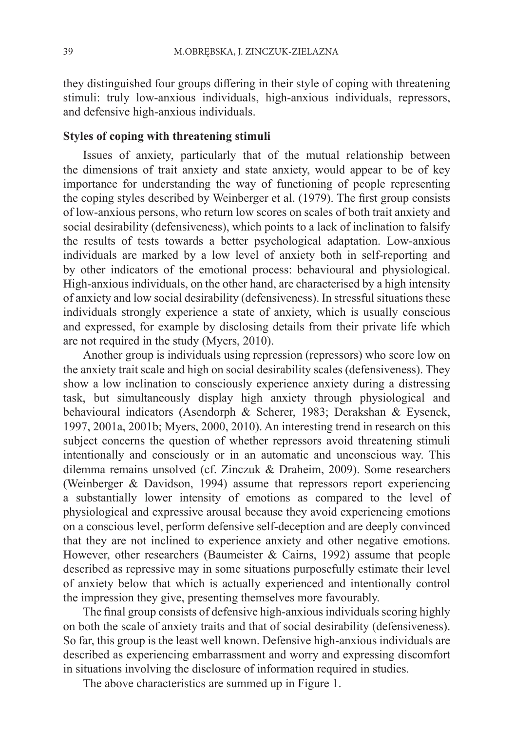they distinguished four groups differing in their style of coping with threatening stimuli: truly low-anxious individuals, high-anxious individuals, repressors, and defensive high-anxious individuals.

## **Styles of coping with threatening stimuli**

Issues of anxiety, particularly that of the mutual relationship between the dimensions of trait anxiety and state anxiety, would appear to be of key importance for understanding the way of functioning of people representing the coping styles described by Weinberger et al. (1979). The first group consists of low-anxious persons, who return low scores on scales of both trait anxiety and social desirability (defensiveness), which points to a lack of inclination to falsify the results of tests towards a better psychological adaptation. Low-anxious individuals are marked by a low level of anxiety both in self-reporting and by other indicators of the emotional process: behavioural and physiological. High-anxious individuals, on the other hand, are characterised by a high intensity of anxiety and low social desirability (defensiveness). In stressful situations these individuals strongly experience a state of anxiety, which is usually conscious and expressed, for example by disclosing details from their private life which are not required in the study (Myers, 2010).

Another group is individuals using repression (repressors) who score low on the anxiety trait scale and high on social desirability scales (defensiveness). They show a low inclination to consciously experience anxiety during a distressing task, but simultaneously display high anxiety through physiological and behavioural indicators (Asendorph & Scherer, 1983; Derakshan & Eysenck, 1997, 2001a, 2001b; Myers, 2000, 2010). An interesting trend in research on this subject concerns the question of whether repressors avoid threatening stimuli intentionally and consciously or in an automatic and unconscious way. This dilemma remains unsolved (cf. Zinczuk & Draheim, 2009). Some researchers (Weinberger & Davidson, 1994) assume that repressors report experiencing a substantially lower intensity of emotions as compared to the level of physiological and expressive arousal because they avoid experiencing emotions on a conscious level, perform defensive self-deception and are deeply convinced that they are not inclined to experience anxiety and other negative emotions. However, other researchers (Baumeister & Cairns, 1992) assume that people described as repressive may in some situations purposefully estimate their level of anxiety below that which is actually experienced and intentionally control the impression they give, presenting themselves more favourably.

The final group consists of defensive high-anxious individuals scoring highly on both the scale of anxiety traits and that of social desirability (defensiveness). So far, this group is the least well known. Defensive high-anxious individuals are described as experiencing embarrassment and worry and expressing discomfort in situations involving the disclosure of information required in studies.

The above characteristics are summed up in Figure 1.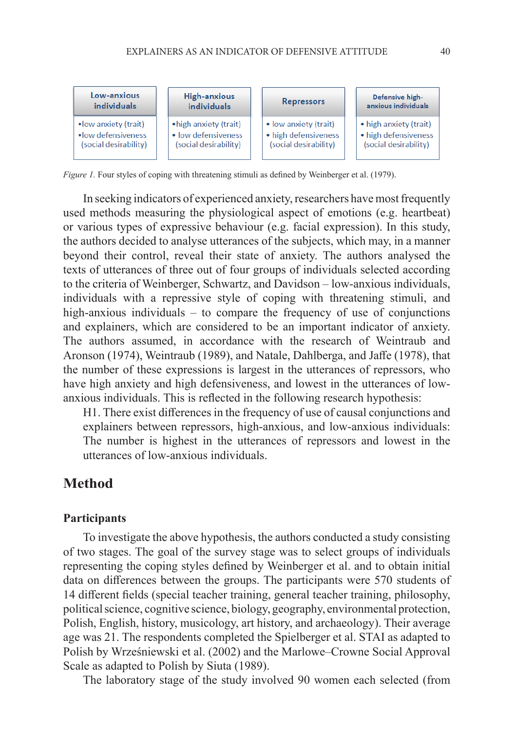

*Figure 1.* Four styles of coping with threatening stimuli as defined by Weinberger et al. (1979).

In seeking indicators of experienced anxiety, researchers have most frequently used methods measuring the physiological aspect of emotions (e.g. heartbeat) or various types of expressive behaviour (e.g. facial expression). In this study, the authors decided to analyse utterances of the subjects, which may, in a manner beyond their control, reveal their state of anxiety. The authors analysed the texts of utterances of three out of four groups of individuals selected according to the criteria of Weinberger, Schwartz, and Davidson – low-anxious individuals, individuals with a repressive style of coping with threatening stimuli, and high-anxious individuals – to compare the frequency of use of conjunctions and explainers, which are considered to be an important indicator of anxiety. The authors assumed, in accordance with the research of Weintraub and Aronson (1974), Weintraub (1989), and Natale, Dahlberga, and Jaffe (1978), that the number of these expressions is largest in the utterances of repressors, who have high anxiety and high defensiveness, and lowest in the utterances of lowanxious individuals. This is reflected in the following research hypothesis:

H1. There exist differences in the frequency of use of causal conjunctions and explainers between repressors, high-anxious, and low-anxious individuals: The number is highest in the utterances of repressors and lowest in the utterances of low-anxious individuals.

# **Method**

### **Participants**

To investigate the above hypothesis, the authors conducted a study consisting of two stages. The goal of the survey stage was to select groups of individuals representing the coping styles defined by Weinberger et al. and to obtain initial data on differences between the groups. The participants were 570 students of 14 different fields (special teacher training, general teacher training, philosophy, political science, cognitive science, biology, geography, environmental protection, Polish, English, history, musicology, art history, and archaeology). Their average age was 21. The respondents completed the Spielberger et al. STAI as adapted to Polish by Wrześniewski et al. (2002) and the Marlowe–Crowne Social Approval Scale as adapted to Polish by Siuta (1989).

The laboratory stage of the study involved 90 women each selected (from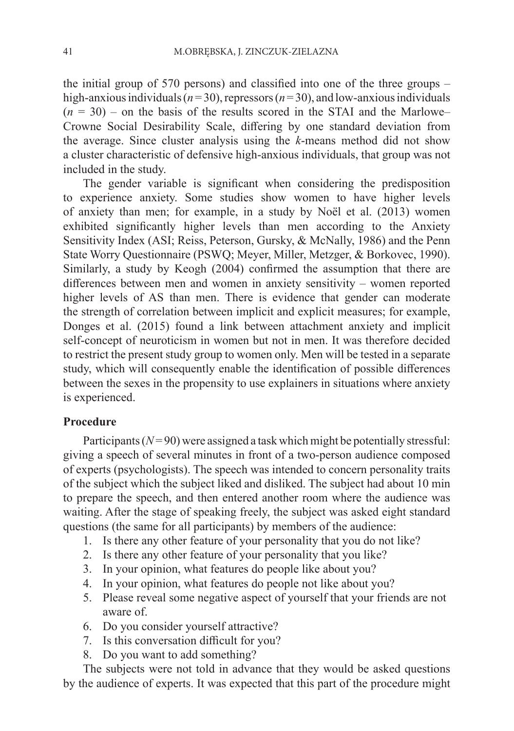the initial group of 570 persons) and classified into one of the three groups – high-anxious individuals  $(n=30)$ , repressors  $(n=30)$ , and low-anxious individuals  $(n = 30)$  – on the basis of the results scored in the STAI and the Marlowe– Crowne Social Desirability Scale, differing by one standard deviation from the average. Since cluster analysis using the *k*-means method did not show a cluster characteristic of defensive high-anxious individuals, that group was not included in the study.

The gender variable is significant when considering the predisposition to experience anxiety. Some studies show women to have higher levels of anxiety than men; for example, in a study by Noël et al. (2013) women exhibited significantly higher levels than men according to the Anxiety Sensitivity Index (ASI; Reiss, Peterson, Gursky, & McNally, 1986) and the Penn State Worry Questionnaire (PSWQ; Meyer, Miller, Metzger, & Borkovec, 1990). Similarly, a study by Keogh (2004) confirmed the assumption that there are differences between men and women in anxiety sensitivity – women reported higher levels of AS than men. There is evidence that gender can moderate the strength of correlation between implicit and explicit measures; for example, Donges et al. (2015) found a link between attachment anxiety and implicit self-concept of neuroticism in women but not in men. It was therefore decided to restrict the present study group to women only. Men will be tested in a separate study, which will consequently enable the identification of possible differences between the sexes in the propensity to use explainers in situations where anxiety is experienced.

## **Procedure**

Participants  $(N=90)$  were assigned a task which might be potentially stressful: giving a speech of several minutes in front of a two-person audience composed of experts (psychologists). The speech was intended to concern personality traits of the subject which the subject liked and disliked. The subject had about 10 min to prepare the speech, and then entered another room where the audience was waiting. After the stage of speaking freely, the subject was asked eight standard questions (the same for all participants) by members of the audience:

- 1. Is there any other feature of your personality that you do not like?
- 2. Is there any other feature of your personality that you like?
- 3. In your opinion, what features do people like about you?
- 4. In your opinion, what features do people not like about you?
- 5. Please reveal some negative aspect of yourself that your friends are not aware of.
- 6. Do you consider yourself attractive?
- 7. Is this conversation difficult for you?
- 8. Do you want to add something?

The subjects were not told in advance that they would be asked questions by the audience of experts. It was expected that this part of the procedure might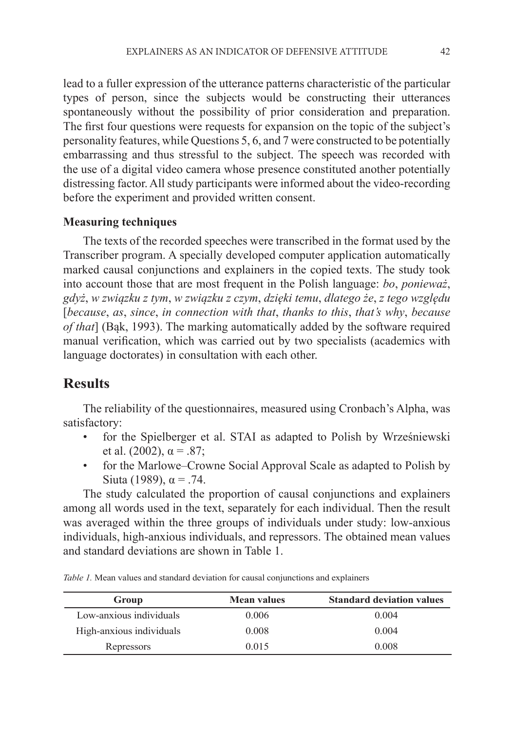lead to a fuller expression of the utterance patterns characteristic of the particular types of person, since the subjects would be constructing their utterances spontaneously without the possibility of prior consideration and preparation. The first four questions were requests for expansion on the topic of the subject's personality features, while Questions 5, 6, and 7 were constructed to be potentially embarrassing and thus stressful to the subject. The speech was recorded with the use of a digital video camera whose presence constituted another potentially distressing factor. All study participants were informed about the video-recording before the experiment and provided written consent.

### **Measuring techniques**

The texts of the recorded speeches were transcribed in the format used by the Transcriber program. A specially developed computer application automatically marked causal conjunctions and explainers in the copied texts. The study took into account those that are most frequent in the Polish language: *bo*, *ponieważ*, *gdyż*, *w związku z tym*, *w związku z czym*, *dzięki temu*, *dlatego że*, *z tego względu* [*because*, *as*, *since*, *in connection with that*, *thanks to this*, *that's why*, *because of that*] (Bąk, 1993). The marking automatically added by the software required manual verification, which was carried out by two specialists (academics with language doctorates) in consultation with each other.

## **Results**

The reliability of the questionnaires, measured using Cronbach's Alpha, was satisfactory:

- for the Spielberger et al. STAI as adapted to Polish by Wrześniewski et al. (2002),  $\alpha = .87$ ;
- for the Marlowe–Crowne Social Approval Scale as adapted to Polish by Siuta (1989),  $\alpha = .74$ .

The study calculated the proportion of causal conjunctions and explainers among all words used in the text, separately for each individual. Then the result was averaged within the three groups of individuals under study: low-anxious individuals, high-anxious individuals, and repressors. The obtained mean values and standard deviations are shown in Table 1.

| Group                    | <b>Mean values</b> | <b>Standard deviation values</b> |
|--------------------------|--------------------|----------------------------------|
| Low-anxious individuals  | 0.006              | 0.004                            |
| High-anxious individuals | 0.008              | 0.004                            |
| Repressors               | 0.015              | 0.008                            |

*Table 1.* Mean values and standard deviation for causal conjunctions and explainers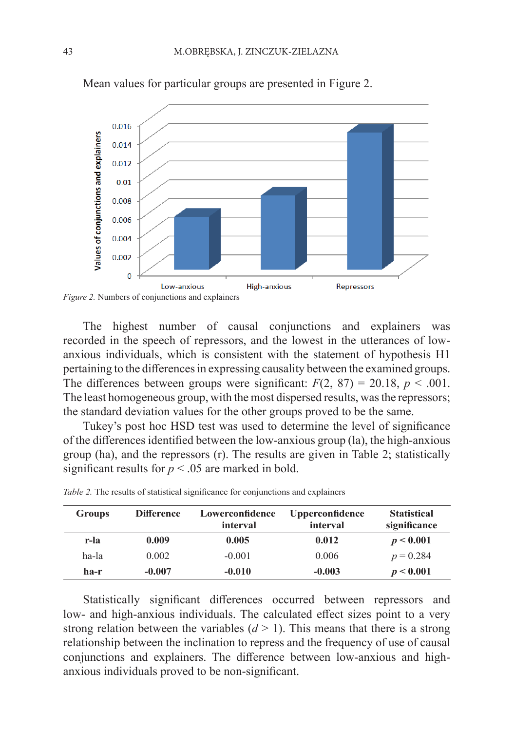

Mean values for particular groups are presented in Figure 2.

The highest number of causal conjunctions and explainers was recorded in the speech of repressors, and the lowest in the utterances of lowanxious individuals, which is consistent with the statement of hypothesis H1 pertaining to the differences in expressing causality between the examined groups. The differences between groups were significant:  $F(2, 87) = 20.18$ ,  $p < .001$ . The least homogeneous group, with the most dispersed results, was the repressors; the standard deviation values for the other groups proved to be the same.

Tukey's post hoc HSD test was used to determine the level of significance of the differences identified between the low-anxious group (la), the high-anxious group (ha), and the repressors (r). The results are given in Table 2; statistically significant results for  $p < .05$  are marked in bold.

| <b>Groups</b> | <b>Difference</b> | Lowerconfidence<br>interval | <b>Upperconfidence</b><br>interval | <b>Statistical</b><br>significance |
|---------------|-------------------|-----------------------------|------------------------------------|------------------------------------|
|               |                   |                             |                                    |                                    |
| r-la          | 0.009             | 0.005                       | 0.012                              | p < 0.001                          |
| ha-la         | 0.002             | $-0.001$                    | 0.006                              | $p = 0.284$                        |
| ha-r          | $-0.007$          | $-0.010$                    | $-0.003$                           | p < 0.001                          |

*Table 2.* The results of statistical significance for conjunctions and explainers

Statistically significant differences occurred between repressors and low- and high-anxious individuals. The calculated effect sizes point to a very strong relation between the variables  $(d > 1)$ . This means that there is a strong relationship between the inclination to repress and the frequency of use of causal conjunctions and explainers. The difference between low-anxious and highanxious individuals proved to be non-significant.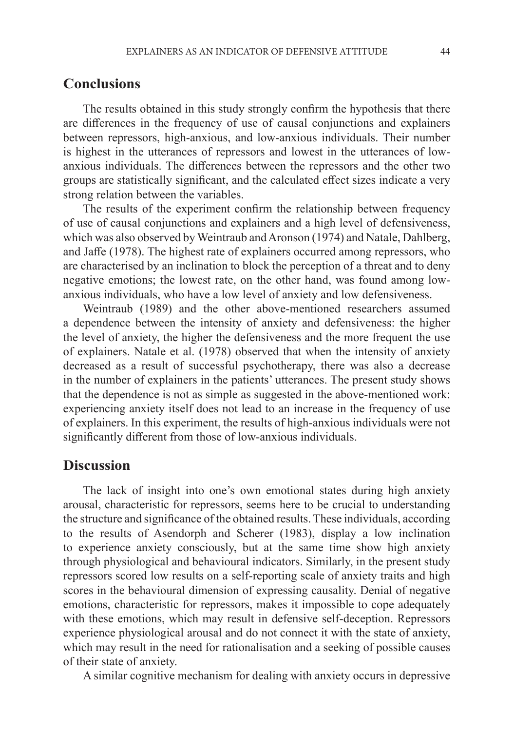## **Conclusions**

The results obtained in this study strongly confirm the hypothesis that there are differences in the frequency of use of causal conjunctions and explainers between repressors, high-anxious, and low-anxious individuals. Their number is highest in the utterances of repressors and lowest in the utterances of lowanxious individuals. The differences between the repressors and the other two groups are statistically significant, and the calculated effect sizes indicate a very strong relation between the variables.

The results of the experiment confirm the relationship between frequency of use of causal conjunctions and explainers and a high level of defensiveness, which was also observed by Weintraub and Aronson (1974) and Natale, Dahlberg, and Jaffe (1978). The highest rate of explainers occurred among repressors, who are characterised by an inclination to block the perception of a threat and to deny negative emotions; the lowest rate, on the other hand, was found among lowanxious individuals, who have a low level of anxiety and low defensiveness.

Weintraub (1989) and the other above-mentioned researchers assumed a dependence between the intensity of anxiety and defensiveness: the higher the level of anxiety, the higher the defensiveness and the more frequent the use of explainers. Natale et al. (1978) observed that when the intensity of anxiety decreased as a result of successful psychotherapy, there was also a decrease in the number of explainers in the patients' utterances. The present study shows that the dependence is not as simple as suggested in the above-mentioned work: experiencing anxiety itself does not lead to an increase in the frequency of use of explainers. In this experiment, the results of high-anxious individuals were not significantly different from those of low-anxious individuals.

## **Discussion**

The lack of insight into one's own emotional states during high anxiety arousal, characteristic for repressors, seems here to be crucial to understanding the structure and significance of the obtained results. These individuals, according to the results of Asendorph and Scherer (1983), display a low inclination to experience anxiety consciously, but at the same time show high anxiety through physiological and behavioural indicators. Similarly, in the present study repressors scored low results on a self-reporting scale of anxiety traits and high scores in the behavioural dimension of expressing causality. Denial of negative emotions, characteristic for repressors, makes it impossible to cope adequately with these emotions, which may result in defensive self-deception. Repressors experience physiological arousal and do not connect it with the state of anxiety, which may result in the need for rationalisation and a seeking of possible causes of their state of anxiety.

A similar cognitive mechanism for dealing with anxiety occurs in depressive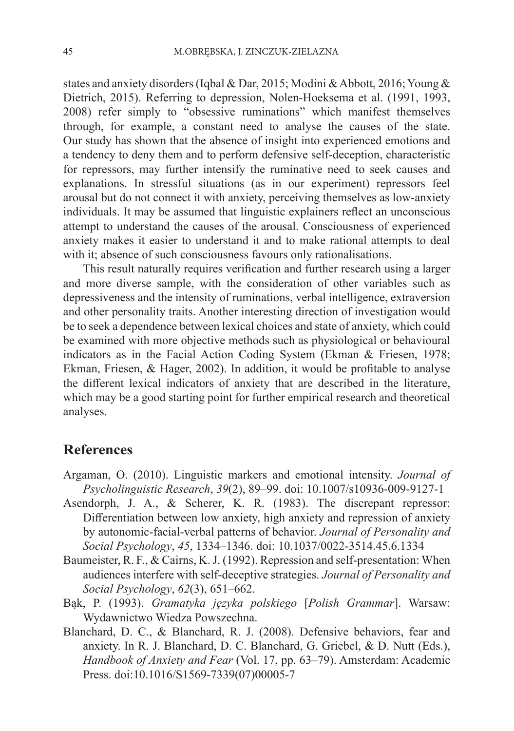states and anxiety disorders (Iqbal & Dar, 2015; Modini & Abbott, 2016; Young & Dietrich, 2015). Referring to depression, Nolen-Hoeksema et al. (1991, 1993, 2008) refer simply to "obsessive ruminations" which manifest themselves through, for example, a constant need to analyse the causes of the state. Our study has shown that the absence of insight into experienced emotions and a tendency to deny them and to perform defensive self-deception, characteristic for repressors, may further intensify the ruminative need to seek causes and explanations. In stressful situations (as in our experiment) repressors feel arousal but do not connect it with anxiety, perceiving themselves as low-anxiety individuals. It may be assumed that linguistic explainers reflect an unconscious attempt to understand the causes of the arousal. Consciousness of experienced anxiety makes it easier to understand it and to make rational attempts to deal with it; absence of such consciousness favours only rationalisations.

This result naturally requires verification and further research using a larger and more diverse sample, with the consideration of other variables such as depressiveness and the intensity of ruminations, verbal intelligence, extraversion and other personality traits. Another interesting direction of investigation would be to seek a dependence between lexical choices and state of anxiety, which could be examined with more objective methods such as physiological or behavioural indicators as in the Facial Action Coding System (Ekman & Friesen, 1978; Ekman, Friesen, & Hager, 2002). In addition, it would be profitable to analyse the different lexical indicators of anxiety that are described in the literature, which may be a good starting point for further empirical research and theoretical analyses.

## **References**

- Argaman, O. (2010). Linguistic markers and emotional intensity. *Journal of Psycholinguistic Research*, *39*(2), 89–99. doi: 10.1007/s10936-009-9127-1
- Asendorph, J. A., & Scherer, K. R. (1983). The discrepant repressor: Differentiation between low anxiety, high anxiety and repression of anxiety by autonomic-facial-verbal patterns of behavior. *Journal of Personality and Social Psychology*, *45*, 1334–1346. doi: 10.1037/0022-3514.45.6.1334
- Baumeister, R. F., & Cairns, K. J. (1992). Repression and self-presentation: When audiences interfere with self-deceptive strategies. *Journal of Personality and Social Psychology*, *62*(3), 651–662.
- Bąk, P. (1993). *Gramatyka języka polskiego* [*Polish Grammar*]. Warsaw: Wydawnictwo Wiedza Powszechna.
- Blanchard, D. C., & Blanchard, R. J. (2008). Defensive behaviors, fear and anxiety. In R. J. Blanchard, D. C. Blanchard, G. Griebel, & D. Nutt (Eds.), *Handbook of Anxiety and Fear* (Vol. 17, pp. 63–79). Amsterdam: Academic Press. doi:10.1016/S1569-7339(07)00005-7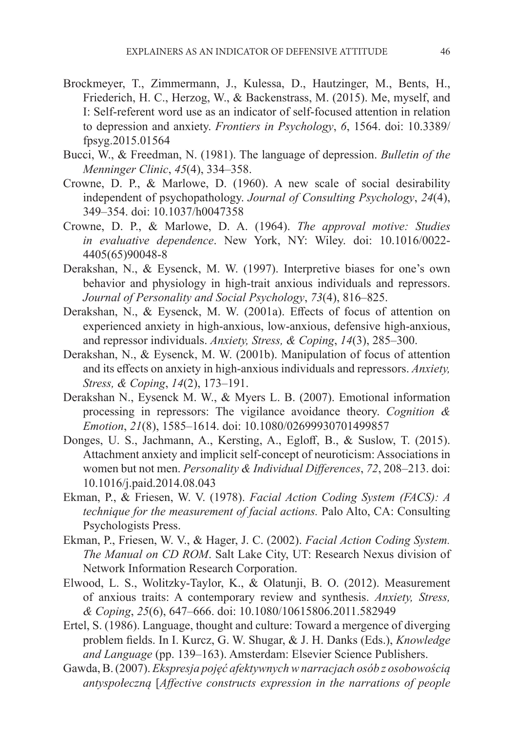- Brockmeyer, T., Zimmermann, J., Kulessa, D., Hautzinger, M., Bents, H., Friederich, H. C., Herzog, W., & Backenstrass, M. (2015). Me, myself, and I: Self-referent word use as an indicator of self-focused attention in relation to depression and anxiety. *Frontiers in Psychology*, *6*, 1564. doi: 10.3389/ fpsyg.2015.01564
- Bucci, W., & Freedman, N. (1981). The language of depression. *Bulletin of the Menninger Clinic*, *45*(4), 334–358.
- Crowne, D. P., & Marlowe, D. (1960). A new scale of social desirability independent of psychopathology. *Journal of Consulting Psychology*, *24*(4), 349–354. doi: 10.1037/h0047358
- Crowne, D. P., & Marlowe, D. A. (1964). *The approval motive: Studies in evaluative dependence*. New York, NY: Wiley. doi: 10.1016/0022- 4405(65)90048-8
- Derakshan, N., & Eysenck, M. W. (1997). Interpretive biases for one's own behavior and physiology in high-trait anxious individuals and repressors. *Journal of Personality and Social Psychology*, *73*(4), 816–825.
- Derakshan, N., & Eysenck, M. W. (2001a). Effects of focus of attention on experienced anxiety in high-anxious, low-anxious, defensive high-anxious, and repressor individuals. *Anxiety, Stress, & Coping*, *14*(3), 285–300.
- Derakshan, N., & Eysenck, M. W. (2001b). Manipulation of focus of attention and its effects on anxiety in high-anxious individuals and repressors. *Anxiety, Stress, & Coping*, *14*(2), 173–191.
- Derakshan N., Eysenck M. W., & Myers L. B. (2007). Emotional information processing in repressors: The vigilance avoidance theory. *Cognition & Emotion*, *21*(8), 1585–1614. doi: 10.1080/02699930701499857
- Donges, U. S., Jachmann, A., Kersting, A., Egloff, B., & Suslow, T. (2015). Attachment anxiety and implicit self-concept of neuroticism: Associations in women but not men. *Personality & Individual Differences*, *72*, 208–213. doi: 10.1016/j.paid.2014.08.043
- Ekman, P., & Friesen, W. V. (1978). *Facial Action Coding System (FACS): A technique for the measurement of facial actions.* Palo Alto, CA: Consulting Psychologists Press.
- Ekman, P., Friesen, W. V., & Hager, J. C. (2002). *Facial Action Coding System. The Manual on CD ROM*. Salt Lake City, UT: Research Nexus division of Network Information Research Corporation.
- Elwood, L. S., Wolitzky-Taylor, K., & Olatunji, B. O. (2012). Measurement of anxious traits: A contemporary review and synthesis. *Anxiety, Stress, & Coping*, *25*(6), 647–666. doi: 10.1080/10615806.2011.582949
- Ertel, S. (1986). Language, thought and culture: Toward a mergence of diverging problem fields. In I. Kurcz, G. W. Shugar, & J. H. Danks (Eds.), *Knowledge and Language* (pp. 139–163). Amsterdam: Elsevier Science Publishers.
- Gawda, B. (2007). *Ekspresja pojęć afektywnych w narracjach osób z osobowością antyspołeczną* [*Affective constructs expression in the narrations of people*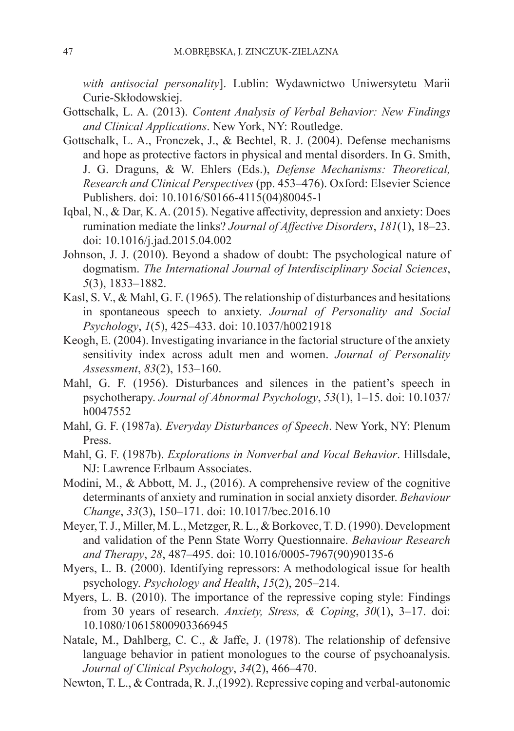*with antisocial personality*]. Lublin: Wydawnictwo Uniwersytetu Marii Curie-Skłodowskiej.

- Gottschalk, L. A. (2013). *Content Analysis of Verbal Behavior: New Findings and Clinical Applications*. New York, NY: Routledge.
- Gottschalk, L. A., Fronczek, J., & Bechtel, R. J. (2004). Defense mechanisms and hope as protective factors in physical and mental disorders. In G. Smith, J. G. Draguns, & W. Ehlers (Eds.), *Defense Mechanisms: Theoretical, Research and Clinical Perspectives* (pp. 453–476). Oxford: Elsevier Science Publishers. doi: 10.1016/S0166-4115(04)80045-1
- Iqbal, N., & Dar, K. A. (2015). Negative affectivity, depression and anxiety: Does rumination mediate the links? *Journal of Affective Disorders*, *181*(1), 18–23. doi: 10.1016/j.jad.2015.04.002
- Johnson, J. J. (2010). Beyond a shadow of doubt: The psychological nature of dogmatism. *The International Journal of Interdisciplinary Social Sciences*, *5*(3), 1833–1882.
- Kasl, S. V., & Mahl, G. F. (1965). The relationship of disturbances and hesitations in spontaneous speech to anxiety. *Journal of Personality and Social Psychology*, *1*(5), 425–433. doi: 10.1037/h0021918
- Keogh, E. (2004). Investigating invariance in the factorial structure of the anxiety sensitivity index across adult men and women. *Journal of Personality Assessment*, *83*(2), 153–160.
- Mahl, G. F. (1956). Disturbances and silences in the patient's speech in psychotherapy. *Journal of Abnormal Psychology*, *53*(1), 1–15. doi: 10.1037/ h0047552
- Mahl, G. F. (1987a). *Everyday Disturbances of Speech*. New York, NY: Plenum Press.
- Mahl, G. F. (1987b). *Explorations in Nonverbal and Vocal Behavior*. Hillsdale, NJ: Lawrence Erlbaum Associates.
- Modini, M., & Abbott, M. J., (2016). A comprehensive review of the cognitive determinants of anxiety and rumination in social anxiety disorder. *Behaviour Change*, *33*(3), 150–171. doi: 10.1017/bec.2016.10
- Meyer, T. J., Miller, M. L., Metzger, R. L., & Borkovec, T. D. (1990). Development and validation of the Penn State Worry Questionnaire. *Behaviour Research and Therapy*, *28*, 487–495. doi: 10.1016/0005-7967(90)90135-6
- Myers, L. B. (2000). Identifying repressors: A methodological issue for health psychology. *Psychology and Health*, *15*(2), 205–214.
- Myers, L. B. (2010). The importance of the repressive coping style: Findings from 30 years of research. *Anxiety, Stress, & Coping*, *30*(1), 3–17. doi: 10.1080/10615800903366945
- Natale, M., Dahlberg, C. C., & Jaffe, J. (1978). The relationship of defensive language behavior in patient monologues to the course of psychoanalysis. *Journal of Clinical Psychology*, *34*(2), 466–470.
- Newton, T. L., & Contrada, R. J.,(1992). Repressive coping and verbal-autonomic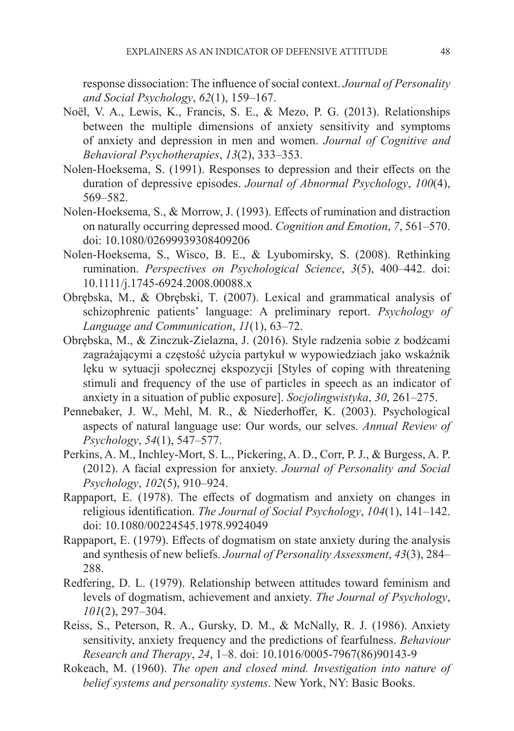response dissociation: The influence of social context. *Journal of Personality and Social Psychology*, *62*(1), 159–167.

- Noël, V. A., Lewis, K., Francis, S. E., & Mezo, P. G. (2013). Relationships between the multiple dimensions of anxiety sensitivity and symptoms of anxiety and depression in men and women. *Journal of Cognitive and Behavioral Psychotherapies*, *13*(2), 333–353.
- Nolen-Hoeksema, S. (1991). Responses to depression and their effects on the duration of depressive episodes. *Journal of Abnormal Psychology*, *100*(4), 569–582.
- Nolen-Hoeksema, S., & Morrow, J. (1993). Effects of rumination and distraction on naturally occurring depressed mood. *Cognition and Emotion*, *7*, 561–570. doi: 10.1080/02699939308409206
- Nolen-Hoeksema, S., Wisco, B. E., & Lyubomirsky, S. (2008). Rethinking rumination. *Perspectives on Psychological Science*, *3*(5), 400–442. doi: 10.1111/j.1745-6924.2008.00088.x
- Obrębska, M., & Obrębski, T. (2007). Lexical and grammatical analysis of schizophrenic patients' language: A preliminary report. *Psychology of Language and Communication*, *11*(1), 63–72.
- Obrębska, M., & Zinczuk-Zielazna, J. (2016). Style radzenia sobie z bodźcami zagrażającymi a częstość użycia partykuł w wypowiedziach jako wskaźnik lęku w sytuacji społecznej ekspozycji [Styles of coping with threatening stimuli and frequency of the use of particles in speech as an indicator of anxiety in a situation of public exposure]. *Socjolingwistyka*, *30*, 261–275.
- Pennebaker, J. W., Mehl, M. R., & Niederhoffer, K. (2003). Psychological aspects of natural language use: Our words, our selves. *Annual Review of Psychology*, *54*(1), 547–577.
- Perkins, A. M., Inchley-Mort, S. L., Pickering, A. D., Corr, P. J., & Burgess, A. P. (2012). A facial expression for anxiety. *Journal of Personality and Social Psychology*, *102*(5), 910–924.
- Rappaport, E. (1978). The effects of dogmatism and anxiety on changes in religious identification. *The Journal of Social Psychology*, *104*(1), 141–142. doi: 10.1080/00224545.1978.9924049
- Rappaport, E. (1979). Effects of dogmatism on state anxiety during the analysis and synthesis of new beliefs. *Journal of Personality Assessment*, *43*(3), 284– 288.
- Redfering, D. L. (1979). Relationship between attitudes toward feminism and levels of dogmatism, achievement and anxiety. *The Journal of Psychology*, *101*(2), 297–304.
- Reiss, S., Peterson, R. A., Gursky, D. M., & McNally, R. J. (1986). Anxiety sensitivity, anxiety frequency and the predictions of fearfulness. *Behaviour Research and Therapy*, *24*, 1–8. doi: 10.1016/0005-7967(86)90143-9
- Rokeach, M. (1960). *The open and closed mind. Investigation into nature of belief systems and personality systems*. New York, NY: Basic Books.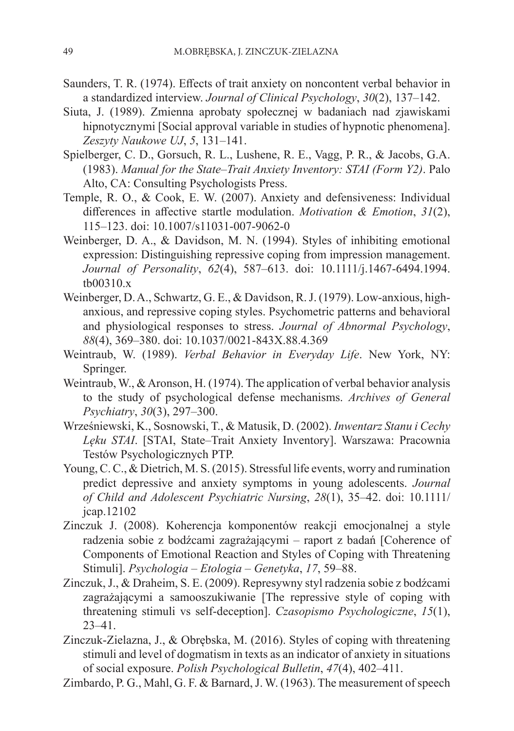- Saunders, T. R. (1974). Effects of trait anxiety on noncontent verbal behavior in a standardized interview. *Journal of Clinical Psychology*, *30*(2), 137–142.
- Siuta, J. (1989). Zmienna aprobaty społecznej w badaniach nad zjawiskami hipnotycznymi [Social approval variable in studies of hypnotic phenomena]. *Zeszyty Naukowe UJ*, *5*, 131–141.
- Spielberger, C. D., Gorsuch, R. L., Lushene, R. E., Vagg, P. R., & Jacobs, G.A. (1983). *Manual for the State–Trait Anxiety Inventory: STAI (Form Y2)*. Palo Alto, CA: Consulting Psychologists Press.
- Temple, R. O., & Cook, E. W. (2007). Anxiety and defensiveness: Individual differences in affective startle modulation. *Motivation & Emotion*, *31*(2), 115–123. doi: 10.1007/s11031-007-9062-0
- Weinberger, D. A., & Davidson, M. N. (1994). Styles of inhibiting emotional expression: Distinguishing repressive coping from impression management. *Journal of Personality*, *62*(4), 587–613. doi: 10.1111/j.1467-6494.1994. tb00310.x
- Weinberger, D. A., Schwartz, G. E., & Davidson, R. J. (1979). Low-anxious, highanxious, and repressive coping styles. Psychometric patterns and behavioral and physiological responses to stress. *Journal of Abnormal Psychology*, *88*(4), 369–380. doi: 10.1037/0021-843X.88.4.369
- Weintraub, W. (1989). *Verbal Behavior in Everyday Life*. New York, NY: Springer.
- Weintraub, W., & Aronson, H. (1974). The application of verbal behavior analysis to the study of psychological defense mechanisms. *Archives of General Psychiatry*, *30*(3), 297–300.
- Wrześniewski, K., Sosnowski, T., & Matusik, D. (2002). *Inwentarz Stanu i Cechy Lęku STAI*. [STAI, State–Trait Anxiety Inventory]. Warszawa: Pracownia Testów Psychologicznych PTP.
- Young, C. C., & Dietrich, M. S. (2015). Stressful life events, worry and rumination predict depressive and anxiety symptoms in young adolescents. *Journal of Child and Adolescent Psychiatric Nursing*, *28*(1), 35–42. doi: 10.1111/ jcap.12102
- Zinczuk J. (2008). Koherencja komponentów reakcji emocjonalnej a style radzenia sobie z bodźcami zagrażającymi – raport z badań [Coherence of Components of Emotional Reaction and Styles of Coping with Threatening Stimuli]. *Psychologia – Etologia – Genetyka*, *17*, 59–88.
- Zinczuk, J., & Draheim, S. E. (2009). Represywny styl radzenia sobie z bodźcami zagrażającymi a samooszukiwanie [The repressive style of coping with threatening stimuli vs self-deception]. *Czasopismo Psychologiczne*, *15*(1), 23–41.
- Zinczuk-Zielazna, J., & Obrębska, M. (2016). Styles of coping with threatening stimuli and level of dogmatism in texts as an indicator of anxiety in situations of social exposure. *Polish Psychological Bulletin*, *47*(4), 402–411.
- Zimbardo, P. G., Mahl, G. F. & Barnard, J. W. (1963). The measurement of speech